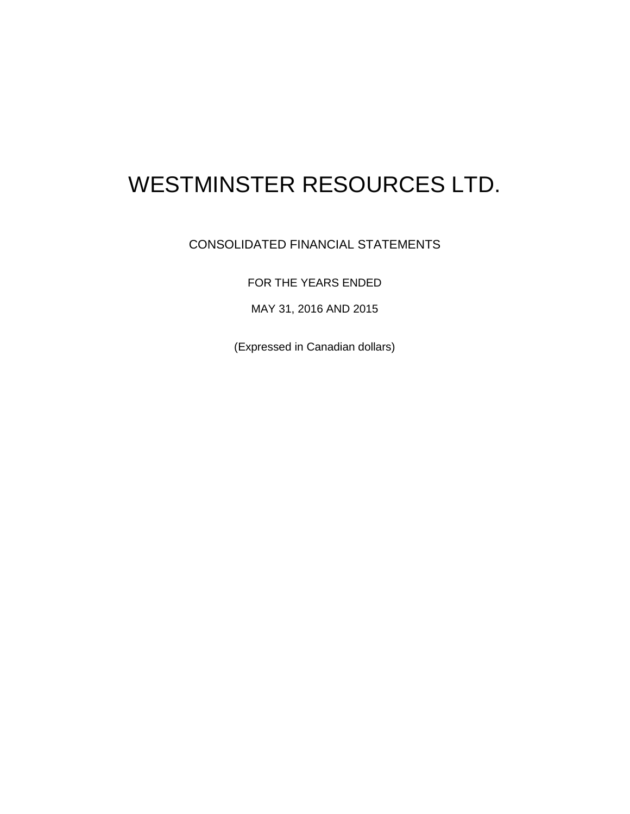# WESTMINSTER RESOURCES LTD.

# CONSOLIDATED FINANCIAL STATEMENTS

FOR THE YEARS ENDED

MAY 31, 2016 AND 2015

(Expressed in Canadian dollars)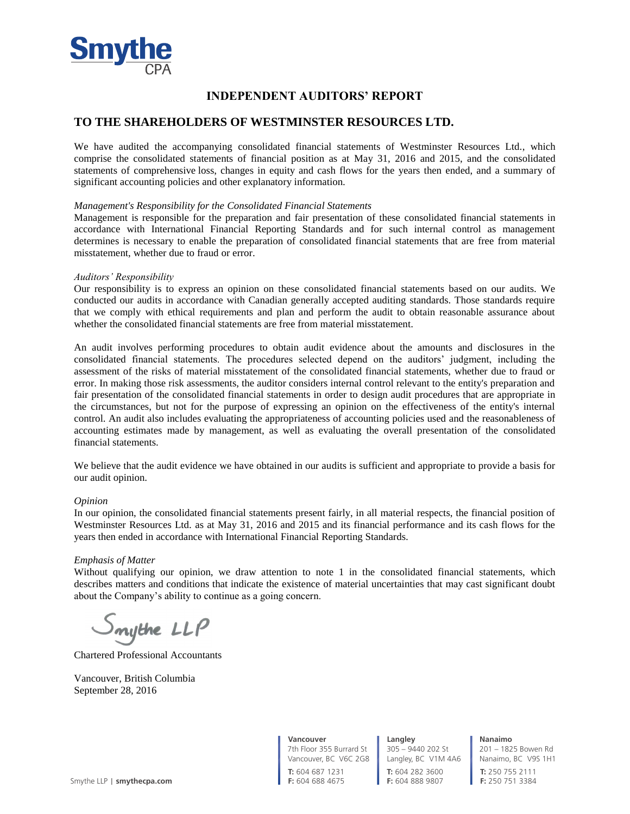

# **INDEPENDENT AUDITORS' REPORT**

## **TO THE SHAREHOLDERS OF WESTMINSTER RESOURCES LTD.**

We have audited the accompanying consolidated financial statements of Westminster Resources Ltd., which comprise the consolidated statements of financial position as at May 31, 2016 and 2015, and the consolidated statements of comprehensive loss, changes in equity and cash flows for the years then ended, and a summary of significant accounting policies and other explanatory information.

#### *Management's Responsibility for the Consolidated Financial Statements*

Management is responsible for the preparation and fair presentation of these consolidated financial statements in accordance with International Financial Reporting Standards and for such internal control as management determines is necessary to enable the preparation of consolidated financial statements that are free from material misstatement, whether due to fraud or error.

#### *Auditors' Responsibility*

Our responsibility is to express an opinion on these consolidated financial statements based on our audits. We conducted our audits in accordance with Canadian generally accepted auditing standards. Those standards require that we comply with ethical requirements and plan and perform the audit to obtain reasonable assurance about whether the consolidated financial statements are free from material misstatement.

An audit involves performing procedures to obtain audit evidence about the amounts and disclosures in the consolidated financial statements. The procedures selected depend on the auditors' judgment, including the assessment of the risks of material misstatement of the consolidated financial statements, whether due to fraud or error. In making those risk assessments, the auditor considers internal control relevant to the entity's preparation and fair presentation of the consolidated financial statements in order to design audit procedures that are appropriate in the circumstances, but not for the purpose of expressing an opinion on the effectiveness of the entity's internal control. An audit also includes evaluating the appropriateness of accounting policies used and the reasonableness of accounting estimates made by management, as well as evaluating the overall presentation of the consolidated financial statements.

We believe that the audit evidence we have obtained in our audits is sufficient and appropriate to provide a basis for our audit opinion.

#### *Opinion*

In our opinion, the consolidated financial statements present fairly, in all material respects, the financial position of Westminster Resources Ltd. as at May 31, 2016 and 2015 and its financial performance and its cash flows for the years then ended in accordance with International Financial Reporting Standards.

#### *Emphasis of Matter*

Without qualifying our opinion, we draw attention to note 1 in the consolidated financial statements, which describes matters and conditions that indicate the existence of material uncertainties that may cast significant doubt about the Company's ability to continue as a going concern.

mythe LLP

Chartered Professional Accountants

Vancouver, British Columbia September 28, 2016

**Vancouver** 7th Floor 355 Burrard St

Vancouver, BC V6C 2G8 **T:** 604 687 1231

**T:** 604 282 3600 **F:** 604 888 9807 **Langley** 305 – 9440 202 St Langley, BC V1M 4A6 **Nanaimo** 201 – 1825 Bowen Rd

Nanaimo, BC V9S 1H1 **T:** 250 755 2111 **F:** 250 751 3384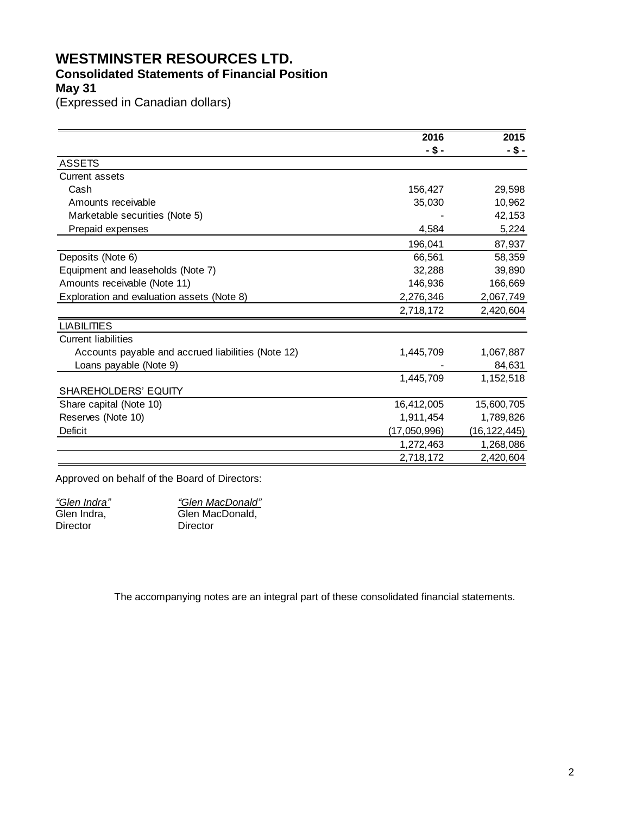# **WESTMINSTER RESOURCES LTD.**

# **Consolidated Statements of Financial Position**

**May 31**

(Expressed in Canadian dollars)

|                                                    | 2016         | 2015           |
|----------------------------------------------------|--------------|----------------|
|                                                    | -\$-         | -\$-           |
| <b>ASSETS</b>                                      |              |                |
| <b>Current assets</b>                              |              |                |
| Cash                                               | 156,427      | 29,598         |
| Amounts receivable                                 | 35,030       | 10,962         |
| Marketable securities (Note 5)                     |              | 42,153         |
| Prepaid expenses                                   | 4,584        | 5,224          |
|                                                    | 196,041      | 87,937         |
| Deposits (Note 6)                                  | 66,561       | 58,359         |
| Equipment and leaseholds (Note 7)                  | 32,288       | 39,890         |
| Amounts receivable (Note 11)                       | 146,936      | 166,669        |
| Exploration and evaluation assets (Note 8)         | 2,276,346    | 2,067,749      |
|                                                    | 2,718,172    | 2,420,604      |
| <b>LIABILITIES</b>                                 |              |                |
| <b>Current liabilities</b>                         |              |                |
| Accounts payable and accrued liabilities (Note 12) | 1,445,709    | 1,067,887      |
| Loans payable (Note 9)                             |              | 84,631         |
|                                                    | 1,445,709    | 1,152,518      |
| SHAREHOLDERS' EQUITY                               |              |                |
| Share capital (Note 10)                            | 16,412,005   | 15,600,705     |
| Reserves (Note 10)                                 | 1,911,454    | 1,789,826      |
| Deficit                                            | (17,050,996) | (16, 122, 445) |
|                                                    | 1,272,463    | 1,268,086      |
|                                                    | 2,718,172    | 2,420,604      |

Approved on behalf of the Board of Directors:

| "Glen Indra" | "Glen MacDonald" |
|--------------|------------------|
| Glen Indra,  | Glen MacDonald.  |
| Director     | Director         |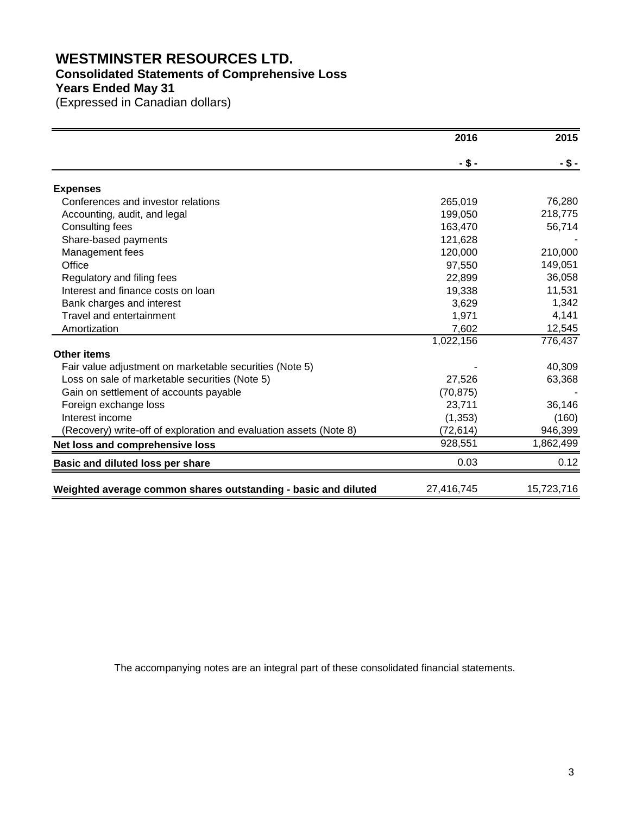# **WESTMINSTER RESOURCES LTD. Consolidated Statements of Comprehensive Loss Years Ended May 31**

(Expressed in Canadian dollars)

|                                                                    | 2016       | 2015       |
|--------------------------------------------------------------------|------------|------------|
|                                                                    | -\$-       | -\$-       |
| <b>Expenses</b>                                                    |            |            |
| Conferences and investor relations                                 | 265,019    | 76,280     |
| Accounting, audit, and legal                                       | 199,050    | 218,775    |
| Consulting fees                                                    | 163,470    | 56,714     |
| Share-based payments                                               | 121,628    |            |
| Management fees                                                    | 120,000    | 210,000    |
| Office                                                             | 97,550     | 149,051    |
| Regulatory and filing fees                                         | 22,899     | 36,058     |
| Interest and finance costs on loan                                 | 19,338     | 11,531     |
| Bank charges and interest                                          | 3,629      | 1,342      |
| Travel and entertainment                                           | 1,971      | 4,141      |
| Amortization                                                       | 7,602      | 12,545     |
|                                                                    | 1,022,156  | 776,437    |
| <b>Other items</b>                                                 |            |            |
| Fair value adjustment on marketable securities (Note 5)            |            | 40,309     |
| Loss on sale of marketable securities (Note 5)                     | 27,526     | 63,368     |
| Gain on settlement of accounts payable                             | (70, 875)  |            |
| Foreign exchange loss                                              | 23,711     | 36,146     |
| Interest income                                                    | (1, 353)   | (160)      |
| (Recovery) write-off of exploration and evaluation assets (Note 8) | (72, 614)  | 946,399    |
| Net loss and comprehensive loss                                    | 928,551    | 1,862,499  |
| Basic and diluted loss per share                                   | 0.03       | 0.12       |
| Weighted average common shares outstanding - basic and diluted     | 27,416,745 | 15,723,716 |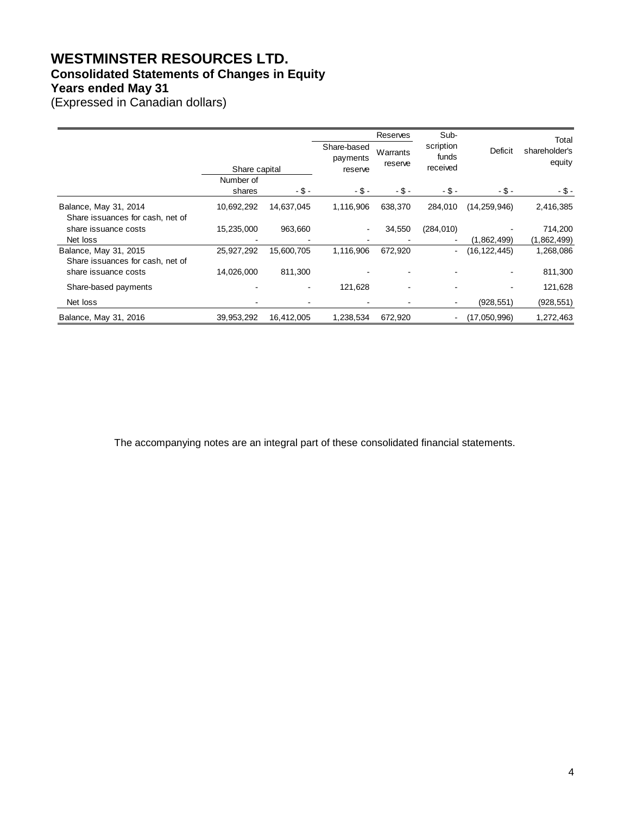# **WESTMINSTER RESOURCES LTD. Consolidated Statements of Changes in Equity Years ended May 31**

(Expressed in Canadian dollars)

|                                                           |                     |                |                                    | Reserves            | Sub-                           |                | Total                   |
|-----------------------------------------------------------|---------------------|----------------|------------------------------------|---------------------|--------------------------------|----------------|-------------------------|
|                                                           | Share capital       |                | Share-based<br>payments<br>reserve | Warrants<br>reserve | scription<br>funds<br>received | <b>Deficit</b> | shareholder's<br>equity |
|                                                           | Number of<br>shares | - \$ -         | $-$ \$ -                           | $-$ \$ -            | - \$ -                         | - \$ -         | - \$ -                  |
| Balance, May 31, 2014<br>Share issuances for cash, net of | 10,692,292          | 14,637,045     | 1,116,906                          | 638,370             | 284,010                        | (14, 259, 946) | 2,416,385               |
| share issuance costs                                      | 15,235,000          | 963,660        |                                    | 34,550              | (284, 010)                     |                | 714,200                 |
| Net loss                                                  |                     |                |                                    |                     |                                | (1,862,499)    | (1,862,499)             |
| Balance, May 31, 2015<br>Share issuances for cash, net of | 25,927,292          | 15,600,705     | 1,116,906                          | 672,920             |                                | (16, 122, 445) | 1,268,086               |
| share issuance costs                                      | 14,026,000          | 811,300        |                                    |                     |                                |                | 811,300                 |
| Share-based payments                                      |                     | $\blacksquare$ | 121,628                            |                     |                                |                | 121,628                 |
| Net loss                                                  |                     |                |                                    |                     |                                | (928, 551)     | (928, 551)              |
| Balance, May 31, 2016                                     | 39,953,292          | 16,412,005     | 1,238,534                          | 672,920             |                                | (17,050,996)   | 1,272,463               |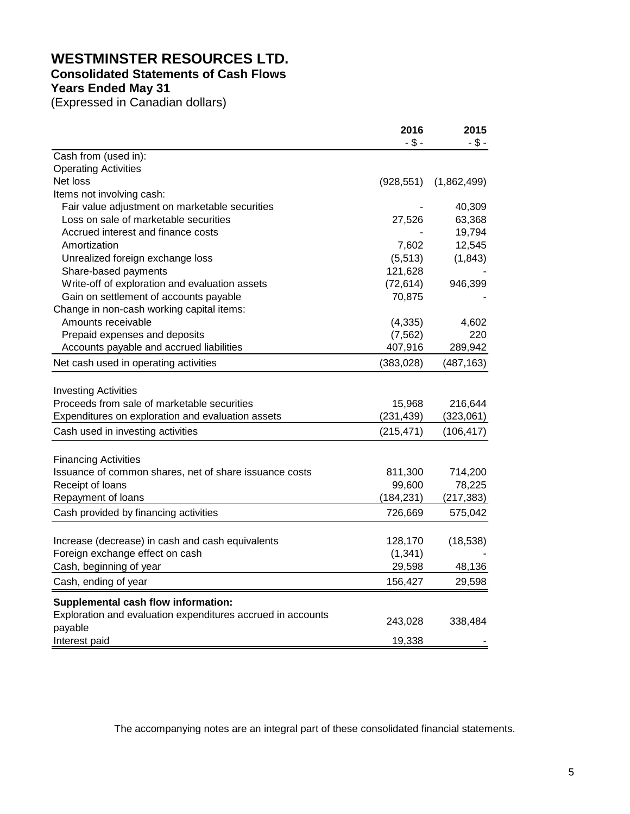# **WESTMINSTER RESOURCES LTD.**

# **Consolidated Statements of Cash Flows**

**Years Ended May 31**

(Expressed in Canadian dollars)

|                                                             | 2016       | 2015        |
|-------------------------------------------------------------|------------|-------------|
|                                                             | $- $ -$    | $- $ -$     |
| Cash from (used in):                                        |            |             |
| <b>Operating Activities</b>                                 |            |             |
| Net loss                                                    | (928, 551) | (1,862,499) |
| Items not involving cash:                                   |            |             |
| Fair value adjustment on marketable securities              |            | 40,309      |
| Loss on sale of marketable securities                       | 27,526     | 63,368      |
| Accrued interest and finance costs                          |            | 19,794      |
| Amortization                                                | 7,602      | 12,545      |
| Unrealized foreign exchange loss                            | (5, 513)   | (1, 843)    |
| Share-based payments                                        | 121,628    |             |
| Write-off of exploration and evaluation assets              | (72, 614)  | 946,399     |
| Gain on settlement of accounts payable                      | 70,875     |             |
| Change in non-cash working capital items:                   |            |             |
| Amounts receivable                                          | (4, 335)   | 4,602       |
| Prepaid expenses and deposits                               | (7, 562)   | 220         |
| Accounts payable and accrued liabilities                    | 407,916    | 289,942     |
| Net cash used in operating activities                       | (383, 028) | (487, 163)  |
|                                                             |            |             |
| <b>Investing Activities</b>                                 |            |             |
| Proceeds from sale of marketable securities                 | 15,968     | 216,644     |
| Expenditures on exploration and evaluation assets           | (231, 439) | (323,061)   |
| Cash used in investing activities                           | (215, 471) | (106, 417)  |
| <b>Financing Activities</b>                                 |            |             |
| Issuance of common shares, net of share issuance costs      | 811,300    | 714,200     |
| Receipt of loans                                            | 99,600     | 78,225      |
| Repayment of loans                                          | (184, 231) | (217, 383)  |
| Cash provided by financing activities                       | 726,669    | 575,042     |
|                                                             |            |             |
| Increase (decrease) in cash and cash equivalents            | 128,170    | (18, 538)   |
| Foreign exchange effect on cash                             | (1, 341)   |             |
| Cash, beginning of year                                     | 29,598     | 48,136      |
| Cash, ending of year                                        | 156,427    | 29,598      |
| Supplemental cash flow information:                         |            |             |
| Exploration and evaluation expenditures accrued in accounts |            |             |
| payable                                                     | 243,028    | 338,484     |
| Interest paid                                               | 19,338     |             |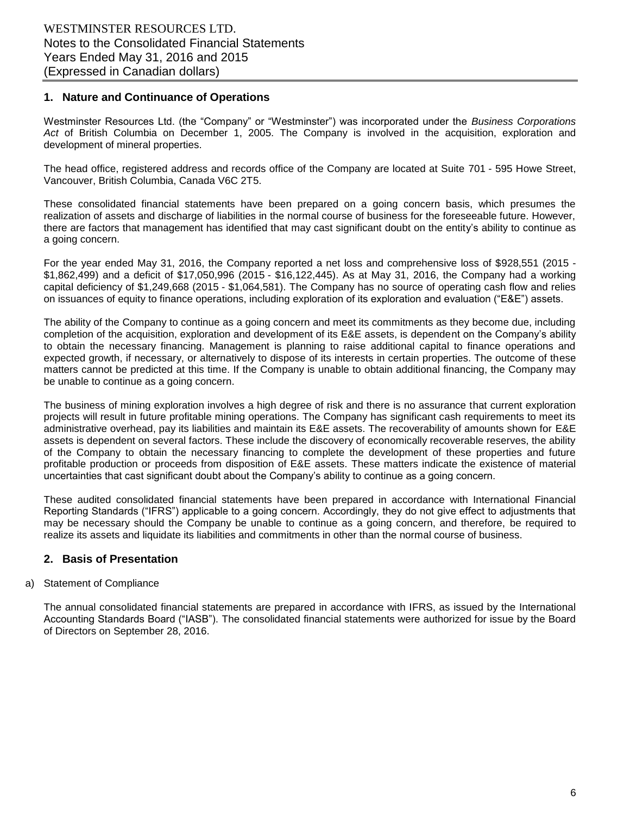# **1. Nature and Continuance of Operations**

Westminster Resources Ltd. (the "Company" or "Westminster") was incorporated under the *Business Corporations Act* of British Columbia on December 1, 2005. The Company is involved in the acquisition, exploration and development of mineral properties.

The head office, registered address and records office of the Company are located at Suite 701 - 595 Howe Street, Vancouver, British Columbia, Canada V6C 2T5.

These consolidated financial statements have been prepared on a going concern basis, which presumes the realization of assets and discharge of liabilities in the normal course of business for the foreseeable future. However, there are factors that management has identified that may cast significant doubt on the entity's ability to continue as a going concern.

For the year ended May 31, 2016, the Company reported a net loss and comprehensive loss of \$928,551 (2015 - \$1,862,499) and a deficit of \$17,050,996 (2015 - \$16,122,445). As at May 31, 2016, the Company had a working capital deficiency of \$1,249,668 (2015 - \$1,064,581). The Company has no source of operating cash flow and relies on issuances of equity to finance operations, including exploration of its exploration and evaluation ("E&E") assets.

The ability of the Company to continue as a going concern and meet its commitments as they become due, including completion of the acquisition, exploration and development of its E&E assets, is dependent on the Company's ability to obtain the necessary financing. Management is planning to raise additional capital to finance operations and expected growth, if necessary, or alternatively to dispose of its interests in certain properties. The outcome of these matters cannot be predicted at this time. If the Company is unable to obtain additional financing, the Company may be unable to continue as a going concern.

The business of mining exploration involves a high degree of risk and there is no assurance that current exploration projects will result in future profitable mining operations. The Company has significant cash requirements to meet its administrative overhead, pay its liabilities and maintain its E&E assets. The recoverability of amounts shown for E&E assets is dependent on several factors. These include the discovery of economically recoverable reserves, the ability of the Company to obtain the necessary financing to complete the development of these properties and future profitable production or proceeds from disposition of E&E assets. These matters indicate the existence of material uncertainties that cast significant doubt about the Company's ability to continue as a going concern.

These audited consolidated financial statements have been prepared in accordance with International Financial Reporting Standards ("IFRS") applicable to a going concern. Accordingly, they do not give effect to adjustments that may be necessary should the Company be unable to continue as a going concern, and therefore, be required to realize its assets and liquidate its liabilities and commitments in other than the normal course of business.

# **2. Basis of Presentation**

#### a) Statement of Compliance

The annual consolidated financial statements are prepared in accordance with IFRS, as issued by the International Accounting Standards Board ("IASB"). The consolidated financial statements were authorized for issue by the Board of Directors on September 28, 2016.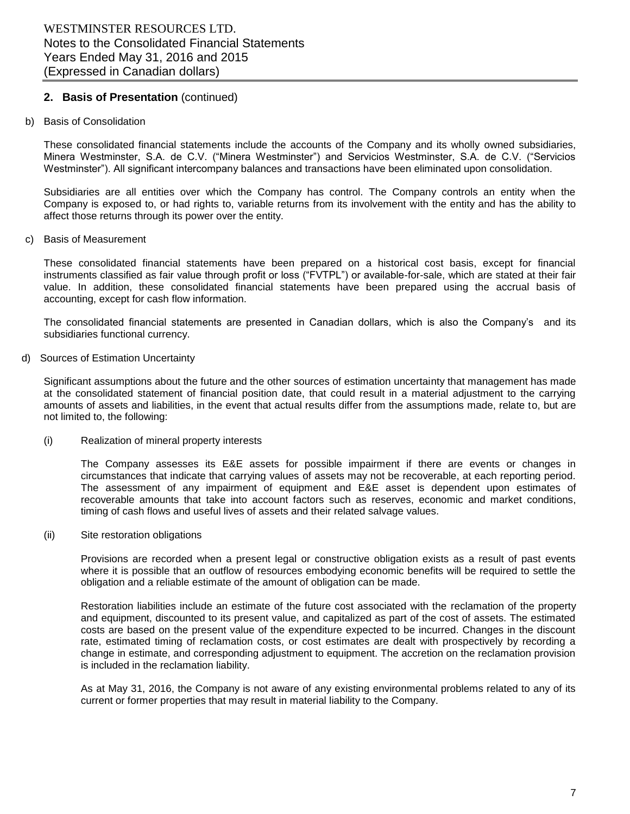# **2. Basis of Presentation** (continued)

b) Basis of Consolidation

These consolidated financial statements include the accounts of the Company and its wholly owned subsidiaries, Minera Westminster, S.A. de C.V. ("Minera Westminster") and Servicios Westminster, S.A. de C.V. ("Servicios Westminster"). All significant intercompany balances and transactions have been eliminated upon consolidation.

Subsidiaries are all entities over which the Company has control. The Company controls an entity when the Company is exposed to, or had rights to, variable returns from its involvement with the entity and has the ability to affect those returns through its power over the entity.

c) Basis of Measurement

These consolidated financial statements have been prepared on a historical cost basis, except for financial instruments classified as fair value through profit or loss ("FVTPL") or available-for-sale, which are stated at their fair value. In addition, these consolidated financial statements have been prepared using the accrual basis of accounting, except for cash flow information.

The consolidated financial statements are presented in Canadian dollars, which is also the Company's and its subsidiaries functional currency.

d) Sources of Estimation Uncertainty

Significant assumptions about the future and the other sources of estimation uncertainty that management has made at the consolidated statement of financial position date, that could result in a material adjustment to the carrying amounts of assets and liabilities, in the event that actual results differ from the assumptions made, relate to, but are not limited to, the following:

(i) Realization of mineral property interests

The Company assesses its E&E assets for possible impairment if there are events or changes in circumstances that indicate that carrying values of assets may not be recoverable, at each reporting period. The assessment of any impairment of equipment and E&E asset is dependent upon estimates of recoverable amounts that take into account factors such as reserves, economic and market conditions, timing of cash flows and useful lives of assets and their related salvage values.

(ii) Site restoration obligations

Provisions are recorded when a present legal or constructive obligation exists as a result of past events where it is possible that an outflow of resources embodying economic benefits will be required to settle the obligation and a reliable estimate of the amount of obligation can be made.

Restoration liabilities include an estimate of the future cost associated with the reclamation of the property and equipment, discounted to its present value, and capitalized as part of the cost of assets. The estimated costs are based on the present value of the expenditure expected to be incurred. Changes in the discount rate, estimated timing of reclamation costs, or cost estimates are dealt with prospectively by recording a change in estimate, and corresponding adjustment to equipment. The accretion on the reclamation provision is included in the reclamation liability.

As at May 31, 2016, the Company is not aware of any existing environmental problems related to any of its current or former properties that may result in material liability to the Company.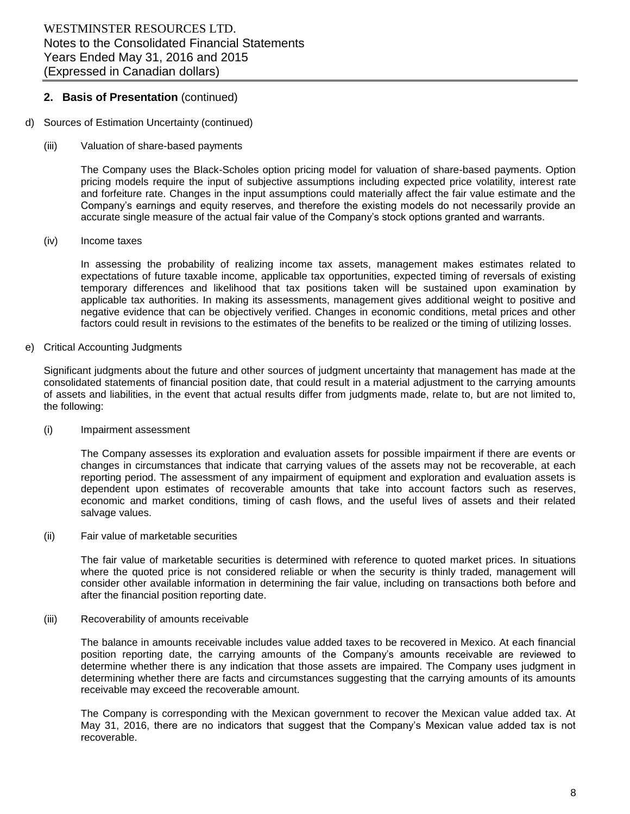## **2. Basis of Presentation** (continued)

- d) Sources of Estimation Uncertainty (continued)
	- (iii) Valuation of share-based payments

The Company uses the Black-Scholes option pricing model for valuation of share-based payments. Option pricing models require the input of subjective assumptions including expected price volatility, interest rate and forfeiture rate. Changes in the input assumptions could materially affect the fair value estimate and the Company's earnings and equity reserves, and therefore the existing models do not necessarily provide an accurate single measure of the actual fair value of the Company's stock options granted and warrants.

(iv) Income taxes

In assessing the probability of realizing income tax assets, management makes estimates related to expectations of future taxable income, applicable tax opportunities, expected timing of reversals of existing temporary differences and likelihood that tax positions taken will be sustained upon examination by applicable tax authorities. In making its assessments, management gives additional weight to positive and negative evidence that can be objectively verified. Changes in economic conditions, metal prices and other factors could result in revisions to the estimates of the benefits to be realized or the timing of utilizing losses.

e) Critical Accounting Judgments

Significant judgments about the future and other sources of judgment uncertainty that management has made at the consolidated statements of financial position date, that could result in a material adjustment to the carrying amounts of assets and liabilities, in the event that actual results differ from judgments made, relate to, but are not limited to, the following:

(i) Impairment assessment

The Company assesses its exploration and evaluation assets for possible impairment if there are events or changes in circumstances that indicate that carrying values of the assets may not be recoverable, at each reporting period. The assessment of any impairment of equipment and exploration and evaluation assets is dependent upon estimates of recoverable amounts that take into account factors such as reserves, economic and market conditions, timing of cash flows, and the useful lives of assets and their related salvage values.

(ii) Fair value of marketable securities

The fair value of marketable securities is determined with reference to quoted market prices. In situations where the quoted price is not considered reliable or when the security is thinly traded, management will consider other available information in determining the fair value, including on transactions both before and after the financial position reporting date.

(iii) Recoverability of amounts receivable

The balance in amounts receivable includes value added taxes to be recovered in Mexico. At each financial position reporting date, the carrying amounts of the Company's amounts receivable are reviewed to determine whether there is any indication that those assets are impaired. The Company uses judgment in determining whether there are facts and circumstances suggesting that the carrying amounts of its amounts receivable may exceed the recoverable amount.

The Company is corresponding with the Mexican government to recover the Mexican value added tax. At May 31, 2016, there are no indicators that suggest that the Company's Mexican value added tax is not recoverable.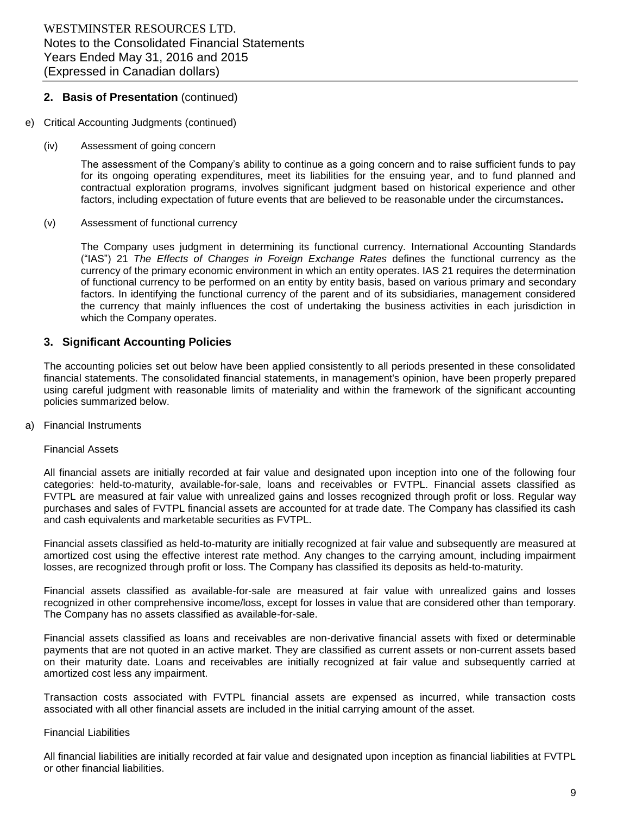# **2. Basis of Presentation** (continued)

- e) Critical Accounting Judgments (continued)
	- (iv) Assessment of going concern

The assessment of the Company's ability to continue as a going concern and to raise sufficient funds to pay for its ongoing operating expenditures, meet its liabilities for the ensuing year, and to fund planned and contractual exploration programs, involves significant judgment based on historical experience and other factors, including expectation of future events that are believed to be reasonable under the circumstances**.**

(v) Assessment of functional currency

The Company uses judgment in determining its functional currency. International Accounting Standards ("IAS") 21 *The Effects of Changes in Foreign Exchange Rates* defines the functional currency as the currency of the primary economic environment in which an entity operates. IAS 21 requires the determination of functional currency to be performed on an entity by entity basis, based on various primary and secondary factors. In identifying the functional currency of the parent and of its subsidiaries, management considered the currency that mainly influences the cost of undertaking the business activities in each jurisdiction in which the Company operates.

# **3. Significant Accounting Policies**

The accounting policies set out below have been applied consistently to all periods presented in these consolidated financial statements. The consolidated financial statements, in management's opinion, have been properly prepared using careful judgment with reasonable limits of materiality and within the framework of the significant accounting policies summarized below.

a) Financial Instruments

#### Financial Assets

All financial assets are initially recorded at fair value and designated upon inception into one of the following four categories: held-to-maturity, available-for-sale, loans and receivables or FVTPL. Financial assets classified as FVTPL are measured at fair value with unrealized gains and losses recognized through profit or loss. Regular way purchases and sales of FVTPL financial assets are accounted for at trade date. The Company has classified its cash and cash equivalents and marketable securities as FVTPL.

Financial assets classified as held-to-maturity are initially recognized at fair value and subsequently are measured at amortized cost using the effective interest rate method. Any changes to the carrying amount, including impairment losses, are recognized through profit or loss. The Company has classified its deposits as held-to-maturity.

Financial assets classified as available-for-sale are measured at fair value with unrealized gains and losses recognized in other comprehensive income/loss, except for losses in value that are considered other than temporary. The Company has no assets classified as available-for-sale.

Financial assets classified as loans and receivables are non-derivative financial assets with fixed or determinable payments that are not quoted in an active market. They are classified as current assets or non-current assets based on their maturity date. Loans and receivables are initially recognized at fair value and subsequently carried at amortized cost less any impairment.

Transaction costs associated with FVTPL financial assets are expensed as incurred, while transaction costs associated with all other financial assets are included in the initial carrying amount of the asset.

#### Financial Liabilities

All financial liabilities are initially recorded at fair value and designated upon inception as financial liabilities at FVTPL or other financial liabilities.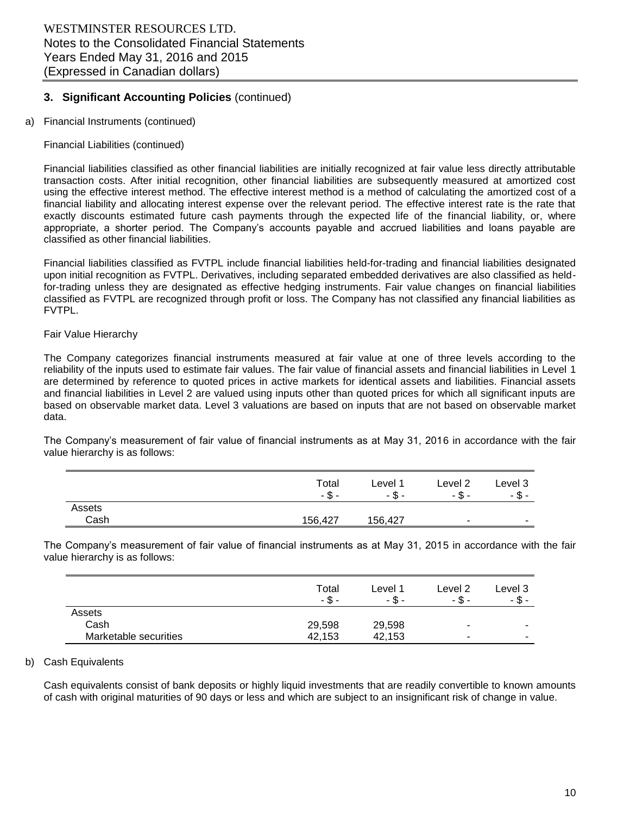#### a) Financial Instruments (continued)

#### Financial Liabilities (continued)

Financial liabilities classified as other financial liabilities are initially recognized at fair value less directly attributable transaction costs. After initial recognition, other financial liabilities are subsequently measured at amortized cost using the effective interest method. The effective interest method is a method of calculating the amortized cost of a financial liability and allocating interest expense over the relevant period. The effective interest rate is the rate that exactly discounts estimated future cash payments through the expected life of the financial liability, or, where appropriate, a shorter period. The Company's accounts payable and accrued liabilities and loans payable are classified as other financial liabilities.

Financial liabilities classified as FVTPL include financial liabilities held-for-trading and financial liabilities designated upon initial recognition as FVTPL. Derivatives, including separated embedded derivatives are also classified as heldfor-trading unless they are designated as effective hedging instruments. Fair value changes on financial liabilities classified as FVTPL are recognized through profit or loss. The Company has not classified any financial liabilities as FVTPL.

#### Fair Value Hierarchy

The Company categorizes financial instruments measured at fair value at one of three levels according to the reliability of the inputs used to estimate fair values. The fair value of financial assets and financial liabilities in Level 1 are determined by reference to quoted prices in active markets for identical assets and liabilities. Financial assets and financial liabilities in Level 2 are valued using inputs other than quoted prices for which all significant inputs are based on observable market data. Level 3 valuations are based on inputs that are not based on observable market data.

The Company's measurement of fair value of financial instruments as at May 31, 2016 in accordance with the fair value hierarchy is as follows:

|        | Total<br>- \$<br>- | ∟evel <sup>1</sup><br>- \$ - | Level <sub>2</sub><br>$-5 -$ | Level 3<br>- \$ -        |
|--------|--------------------|------------------------------|------------------------------|--------------------------|
| Assets |                    |                              |                              |                          |
| Cash   | 156,427            | 156,427                      | $\overline{\phantom{a}}$     | $\overline{\phantom{0}}$ |

The Company's measurement of fair value of financial instruments as at May 31, 2015 in accordance with the fair value hierarchy is as follows:

|                       | Total<br>- \$ - | Level 1<br>- \$ - | Level 2<br>- \$ - | Level 3<br>- \$ -        |
|-----------------------|-----------------|-------------------|-------------------|--------------------------|
| Assets                |                 |                   |                   |                          |
| Cash                  | 29,598          | 29,598            | ۰                 | $\overline{\phantom{a}}$ |
| Marketable securities | 42.153          | 42.153            | ۰                 | $\overline{\phantom{a}}$ |

#### b) Cash Equivalents

Cash equivalents consist of bank deposits or highly liquid investments that are readily convertible to known amounts of cash with original maturities of 90 days or less and which are subject to an insignificant risk of change in value.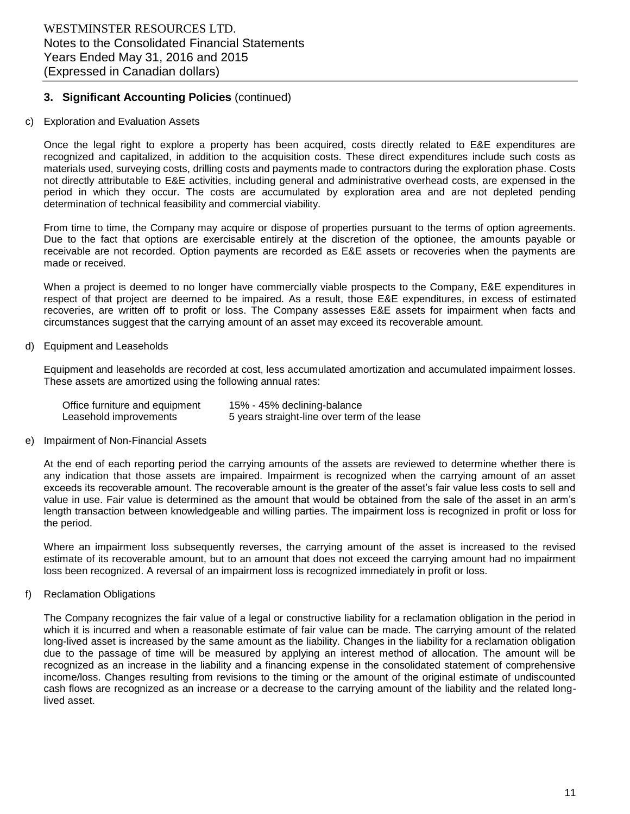#### c) Exploration and Evaluation Assets

Once the legal right to explore a property has been acquired, costs directly related to E&E expenditures are recognized and capitalized, in addition to the acquisition costs. These direct expenditures include such costs as materials used, surveying costs, drilling costs and payments made to contractors during the exploration phase. Costs not directly attributable to E&E activities, including general and administrative overhead costs, are expensed in the period in which they occur. The costs are accumulated by exploration area and are not depleted pending determination of technical feasibility and commercial viability.

From time to time, the Company may acquire or dispose of properties pursuant to the terms of option agreements. Due to the fact that options are exercisable entirely at the discretion of the optionee, the amounts payable or receivable are not recorded. Option payments are recorded as E&E assets or recoveries when the payments are made or received.

When a project is deemed to no longer have commercially viable prospects to the Company, E&E expenditures in respect of that project are deemed to be impaired. As a result, those E&E expenditures, in excess of estimated recoveries, are written off to profit or loss. The Company assesses E&E assets for impairment when facts and circumstances suggest that the carrying amount of an asset may exceed its recoverable amount.

#### d) Equipment and Leaseholds

Equipment and leaseholds are recorded at cost, less accumulated amortization and accumulated impairment losses. These assets are amortized using the following annual rates:

| Office furniture and equipment | 15% - 45% declining-balance                  |
|--------------------------------|----------------------------------------------|
| Leasehold improvements         | 5 years straight-line over term of the lease |

#### e) Impairment of Non-Financial Assets

At the end of each reporting period the carrying amounts of the assets are reviewed to determine whether there is any indication that those assets are impaired. Impairment is recognized when the carrying amount of an asset exceeds its recoverable amount. The recoverable amount is the greater of the asset's fair value less costs to sell and value in use. Fair value is determined as the amount that would be obtained from the sale of the asset in an arm's length transaction between knowledgeable and willing parties. The impairment loss is recognized in profit or loss for the period.

Where an impairment loss subsequently reverses, the carrying amount of the asset is increased to the revised estimate of its recoverable amount, but to an amount that does not exceed the carrying amount had no impairment loss been recognized. A reversal of an impairment loss is recognized immediately in profit or loss.

#### f) Reclamation Obligations

The Company recognizes the fair value of a legal or constructive liability for a reclamation obligation in the period in which it is incurred and when a reasonable estimate of fair value can be made. The carrying amount of the related long-lived asset is increased by the same amount as the liability. Changes in the liability for a reclamation obligation due to the passage of time will be measured by applying an interest method of allocation. The amount will be recognized as an increase in the liability and a financing expense in the consolidated statement of comprehensive income/loss. Changes resulting from revisions to the timing or the amount of the original estimate of undiscounted cash flows are recognized as an increase or a decrease to the carrying amount of the liability and the related longlived asset.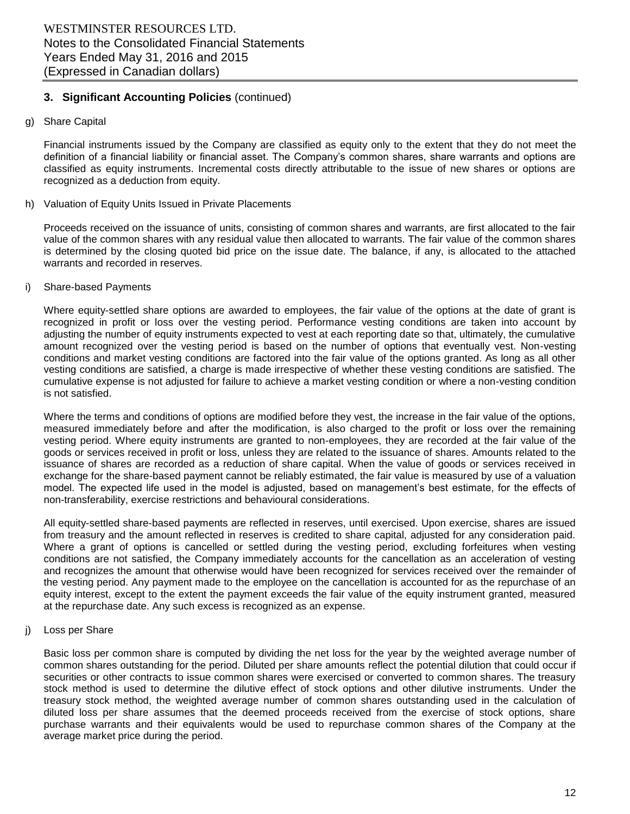#### g) Share Capital

Financial instruments issued by the Company are classified as equity only to the extent that they do not meet the definition of a financial liability or financial asset. The Company's common shares, share warrants and options are classified as equity instruments. Incremental costs directly attributable to the issue of new shares or options are recognized as a deduction from equity.

#### h) Valuation of Equity Units Issued in Private Placements

Proceeds received on the issuance of units, consisting of common shares and warrants, are first allocated to the fair value of the common shares with any residual value then allocated to warrants. The fair value of the common shares is determined by the closing quoted bid price on the issue date. The balance, if any, is allocated to the attached warrants and recorded in reserves.

#### i) Share-based Payments

Where equity-settled share options are awarded to employees, the fair value of the options at the date of grant is recognized in profit or loss over the vesting period. Performance vesting conditions are taken into account by adjusting the number of equity instruments expected to vest at each reporting date so that, ultimately, the cumulative amount recognized over the vesting period is based on the number of options that eventually vest. Non-vesting conditions and market vesting conditions are factored into the fair value of the options granted. As long as all other vesting conditions are satisfied, a charge is made irrespective of whether these vesting conditions are satisfied. The cumulative expense is not adjusted for failure to achieve a market vesting condition or where a non-vesting condition is not satisfied.

Where the terms and conditions of options are modified before they vest, the increase in the fair value of the options, measured immediately before and after the modification, is also charged to the profit or loss over the remaining vesting period. Where equity instruments are granted to non-employees, they are recorded at the fair value of the goods or services received in profit or loss, unless they are related to the issuance of shares. Amounts related to the issuance of shares are recorded as a reduction of share capital. When the value of goods or services received in exchange for the share-based payment cannot be reliably estimated, the fair value is measured by use of a valuation model. The expected life used in the model is adjusted, based on management's best estimate, for the effects of non-transferability, exercise restrictions and behavioural considerations.

All equity-settled share-based payments are reflected in reserves, until exercised. Upon exercise, shares are issued from treasury and the amount reflected in reserves is credited to share capital, adjusted for any consideration paid. Where a grant of options is cancelled or settled during the vesting period, excluding forfeitures when vesting conditions are not satisfied, the Company immediately accounts for the cancellation as an acceleration of vesting and recognizes the amount that otherwise would have been recognized for services received over the remainder of the vesting period. Any payment made to the employee on the cancellation is accounted for as the repurchase of an equity interest, except to the extent the payment exceeds the fair value of the equity instrument granted, measured at the repurchase date. Any such excess is recognized as an expense.

#### j) Loss per Share

Basic loss per common share is computed by dividing the net loss for the year by the weighted average number of common shares outstanding for the period. Diluted per share amounts reflect the potential dilution that could occur if securities or other contracts to issue common shares were exercised or converted to common shares. The treasury stock method is used to determine the dilutive effect of stock options and other dilutive instruments. Under the treasury stock method, the weighted average number of common shares outstanding used in the calculation of diluted loss per share assumes that the deemed proceeds received from the exercise of stock options, share purchase warrants and their equivalents would be used to repurchase common shares of the Company at the average market price during the period.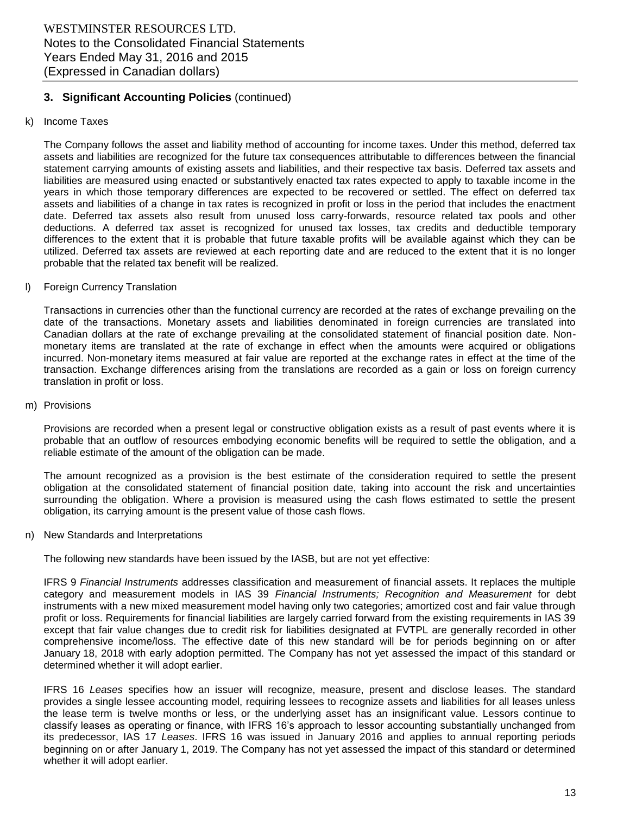#### k) Income Taxes

The Company follows the asset and liability method of accounting for income taxes. Under this method, deferred tax assets and liabilities are recognized for the future tax consequences attributable to differences between the financial statement carrying amounts of existing assets and liabilities, and their respective tax basis. Deferred tax assets and liabilities are measured using enacted or substantively enacted tax rates expected to apply to taxable income in the years in which those temporary differences are expected to be recovered or settled. The effect on deferred tax assets and liabilities of a change in tax rates is recognized in profit or loss in the period that includes the enactment date. Deferred tax assets also result from unused loss carry-forwards, resource related tax pools and other deductions. A deferred tax asset is recognized for unused tax losses, tax credits and deductible temporary differences to the extent that it is probable that future taxable profits will be available against which they can be utilized. Deferred tax assets are reviewed at each reporting date and are reduced to the extent that it is no longer probable that the related tax benefit will be realized.

#### l) Foreign Currency Translation

Transactions in currencies other than the functional currency are recorded at the rates of exchange prevailing on the date of the transactions. Monetary assets and liabilities denominated in foreign currencies are translated into Canadian dollars at the rate of exchange prevailing at the consolidated statement of financial position date. Nonmonetary items are translated at the rate of exchange in effect when the amounts were acquired or obligations incurred. Non-monetary items measured at fair value are reported at the exchange rates in effect at the time of the transaction. Exchange differences arising from the translations are recorded as a gain or loss on foreign currency translation in profit or loss.

#### m) Provisions

Provisions are recorded when a present legal or constructive obligation exists as a result of past events where it is probable that an outflow of resources embodying economic benefits will be required to settle the obligation, and a reliable estimate of the amount of the obligation can be made.

The amount recognized as a provision is the best estimate of the consideration required to settle the present obligation at the consolidated statement of financial position date, taking into account the risk and uncertainties surrounding the obligation. Where a provision is measured using the cash flows estimated to settle the present obligation, its carrying amount is the present value of those cash flows.

#### n) New Standards and Interpretations

The following new standards have been issued by the IASB, but are not yet effective:

IFRS 9 *Financial Instruments* addresses classification and measurement of financial assets. It replaces the multiple category and measurement models in IAS 39 *Financial Instruments; Recognition and Measurement* for debt instruments with a new mixed measurement model having only two categories; amortized cost and fair value through profit or loss. Requirements for financial liabilities are largely carried forward from the existing requirements in IAS 39 except that fair value changes due to credit risk for liabilities designated at FVTPL are generally recorded in other comprehensive income/loss. The effective date of this new standard will be for periods beginning on or after January 18, 2018 with early adoption permitted. The Company has not yet assessed the impact of this standard or determined whether it will adopt earlier.

IFRS 16 *Leases* specifies how an issuer will recognize, measure, present and disclose leases. The standard provides a single lessee accounting model, requiring lessees to recognize assets and liabilities for all leases unless the lease term is twelve months or less, or the underlying asset has an insignificant value. Lessors continue to classify leases as operating or finance, with IFRS 16's approach to lessor accounting substantially unchanged from its predecessor, IAS 17 *Leases*. IFRS 16 was issued in January 2016 and applies to annual reporting periods beginning on or after January 1, 2019. The Company has not yet assessed the impact of this standard or determined whether it will adopt earlier.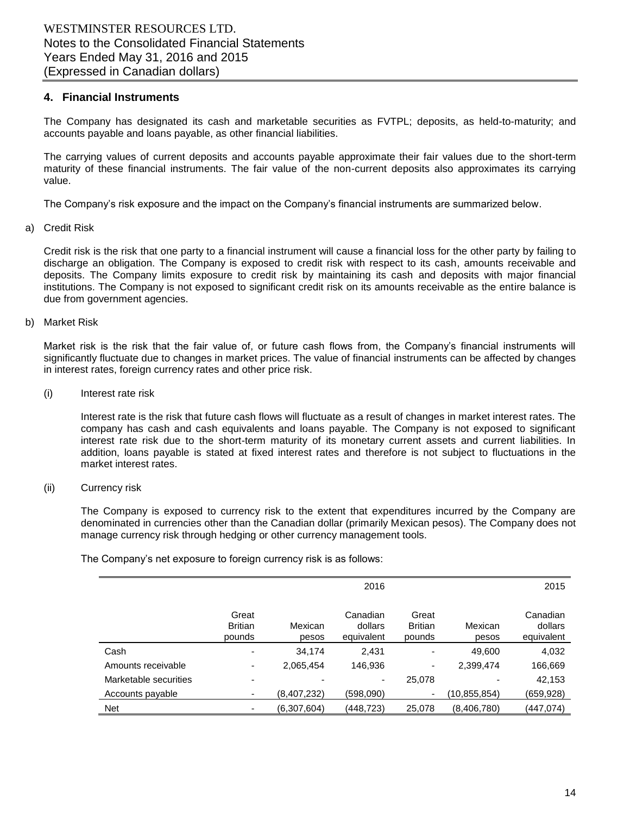#### **4. Financial Instruments**

The Company has designated its cash and marketable securities as FVTPL; deposits, as held-to-maturity; and accounts payable and loans payable, as other financial liabilities.

The carrying values of current deposits and accounts payable approximate their fair values due to the short-term maturity of these financial instruments. The fair value of the non-current deposits also approximates its carrying value.

The Company's risk exposure and the impact on the Company's financial instruments are summarized below.

#### a) Credit Risk

Credit risk is the risk that one party to a financial instrument will cause a financial loss for the other party by failing to discharge an obligation. The Company is exposed to credit risk with respect to its cash, amounts receivable and deposits. The Company limits exposure to credit risk by maintaining its cash and deposits with major financial institutions. The Company is not exposed to significant credit risk on its amounts receivable as the entire balance is due from government agencies.

#### b) Market Risk

Market risk is the risk that the fair value of, or future cash flows from, the Company's financial instruments will significantly fluctuate due to changes in market prices. The value of financial instruments can be affected by changes in interest rates, foreign currency rates and other price risk.

#### (i) Interest rate risk

Interest rate is the risk that future cash flows will fluctuate as a result of changes in market interest rates. The company has cash and cash equivalents and loans payable. The Company is not exposed to significant interest rate risk due to the short-term maturity of its monetary current assets and current liabilities. In addition, loans payable is stated at fixed interest rates and therefore is not subject to fluctuations in the market interest rates.

#### (ii) Currency risk

The Company is exposed to currency risk to the extent that expenditures incurred by the Company are denominated in currencies other than the Canadian dollar (primarily Mexican pesos). The Company does not manage currency risk through hedging or other currency management tools.

The Company's net exposure to foreign currency risk is as follows:

|                       |                                   |                  | 2016                              |                                   |                  | 2015                              |
|-----------------------|-----------------------------------|------------------|-----------------------------------|-----------------------------------|------------------|-----------------------------------|
|                       | Great<br><b>Britian</b><br>pounds | Mexican<br>pesos | Canadian<br>dollars<br>equivalent | Great<br><b>Britian</b><br>pounds | Mexican<br>pesos | Canadian<br>dollars<br>equivalent |
| Cash                  | ۰                                 | 34,174           | 2,431                             |                                   | 49,600           | 4,032                             |
| Amounts receivable    | ۰                                 | 2,065,454        | 146,936                           | -                                 | 2,399,474        | 166,669                           |
| Marketable securities |                                   |                  |                                   | 25,078                            |                  | 42,153                            |
| Accounts payable      |                                   | (8,407,232)      | (598,090)                         | ٠                                 | (10,855,854)     | (659,928)                         |
| Net                   |                                   | (6,307,604)      | (448,723)                         | 25,078                            | (8,406,780)      | (447,074)                         |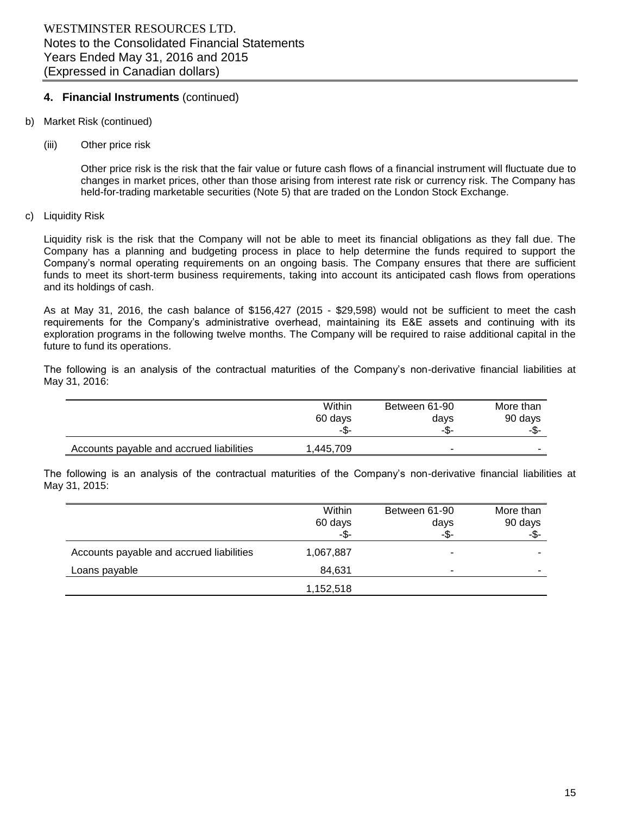## **4. Financial Instruments** (continued)

- b) Market Risk (continued)
	- (iii) Other price risk

Other price risk is the risk that the fair value or future cash flows of a financial instrument will fluctuate due to changes in market prices, other than those arising from interest rate risk or currency risk. The Company has held-for-trading marketable securities (Note 5) that are traded on the London Stock Exchange.

c) Liquidity Risk

Liquidity risk is the risk that the Company will not be able to meet its financial obligations as they fall due. The Company has a planning and budgeting process in place to help determine the funds required to support the Company's normal operating requirements on an ongoing basis. The Company ensures that there are sufficient funds to meet its short-term business requirements, taking into account its anticipated cash flows from operations and its holdings of cash.

As at May 31, 2016, the cash balance of \$156,427 (2015 - \$29,598) would not be sufficient to meet the cash requirements for the Company's administrative overhead, maintaining its E&E assets and continuing with its exploration programs in the following twelve months. The Company will be required to raise additional capital in the future to fund its operations.

The following is an analysis of the contractual maturities of the Company's non-derivative financial liabilities at May 31, 2016:

|                                          | Within    | Between 61-90 | More than |
|------------------------------------------|-----------|---------------|-----------|
|                                          | 60 days   | days          | 90 days   |
|                                          | -\$-      | -\$-          | -\$-      |
| Accounts payable and accrued liabilities | 1.445.709 | -             |           |

The following is an analysis of the contractual maturities of the Company's non-derivative financial liabilities at May 31, 2015:

|                                          | Within    | Between 61-90 | More than |
|------------------------------------------|-----------|---------------|-----------|
|                                          | 60 days   | days          | 90 days   |
|                                          | -\$-      | -\$-          | -\$-      |
| Accounts payable and accrued liabilities | 1,067,887 | -             |           |
| Loans payable                            | 84,631    | -             |           |
|                                          | 1,152,518 |               |           |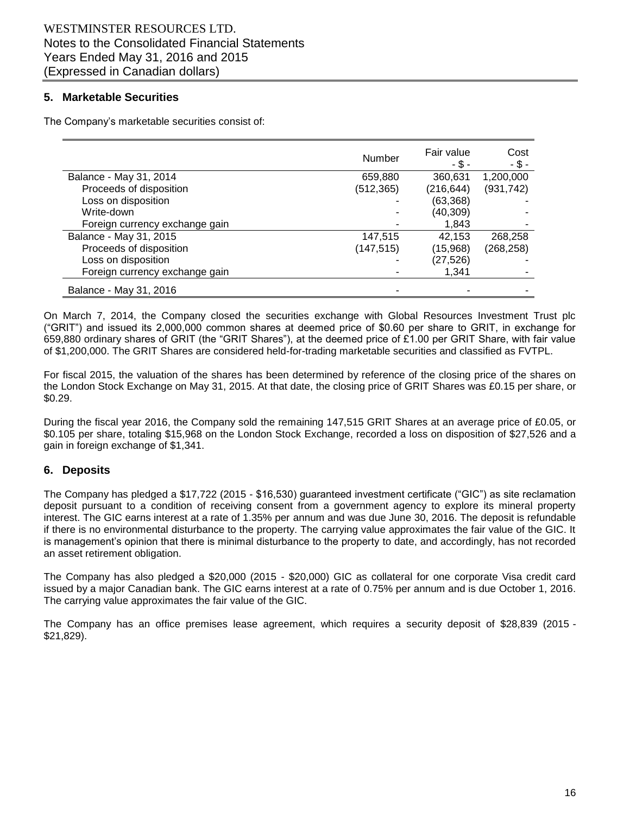## **5. Marketable Securities**

The Company's marketable securities consist of:

|                                | <b>Number</b> | Fair value<br>- \$ - | Cost<br>$-$ \$ - |
|--------------------------------|---------------|----------------------|------------------|
| Balance - May 31, 2014         | 659,880       | 360,631              | 1,200,000        |
| Proceeds of disposition        | (512, 365)    | (216, 644)           | (931, 742)       |
| Loss on disposition            |               | (63, 368)            |                  |
| Write-down                     |               | (40, 309)            |                  |
| Foreign currency exchange gain |               | 1,843                |                  |
| Balance - May 31, 2015         | 147,515       | 42.153               | 268,258          |
| Proceeds of disposition        | (147, 515)    | (15,968)             | (268, 258)       |
| Loss on disposition            |               | (27,526)             |                  |
| Foreign currency exchange gain |               | 1.341                |                  |
| Balance - May 31, 2016         |               |                      |                  |

On March 7, 2014, the Company closed the securities exchange with Global Resources Investment Trust plc ("GRIT") and issued its 2,000,000 common shares at deemed price of \$0.60 per share to GRIT, in exchange for 659,880 ordinary shares of GRIT (the "GRIT Shares"), at the deemed price of £1.00 per GRIT Share, with fair value of \$1,200,000. The GRIT Shares are considered held-for-trading marketable securities and classified as FVTPL.

For fiscal 2015, the valuation of the shares has been determined by reference of the closing price of the shares on the London Stock Exchange on May 31, 2015. At that date, the closing price of GRIT Shares was £0.15 per share, or \$0.29.

During the fiscal year 2016, the Company sold the remaining 147,515 GRIT Shares at an average price of £0.05, or \$0.105 per share, totaling \$15,968 on the London Stock Exchange, recorded a loss on disposition of \$27,526 and a gain in foreign exchange of \$1,341.

# **6. Deposits**

The Company has pledged a \$17,722 (2015 - \$16,530) guaranteed investment certificate ("GIC") as site reclamation deposit pursuant to a condition of receiving consent from a government agency to explore its mineral property interest. The GIC earns interest at a rate of 1.35% per annum and was due June 30, 2016. The deposit is refundable if there is no environmental disturbance to the property. The carrying value approximates the fair value of the GIC. It is management's opinion that there is minimal disturbance to the property to date, and accordingly, has not recorded an asset retirement obligation.

The Company has also pledged a \$20,000 (2015 - \$20,000) GIC as collateral for one corporate Visa credit card issued by a major Canadian bank. The GIC earns interest at a rate of 0.75% per annum and is due October 1, 2016. The carrying value approximates the fair value of the GIC.

The Company has an office premises lease agreement, which requires a security deposit of \$28,839 (2015 - \$21,829).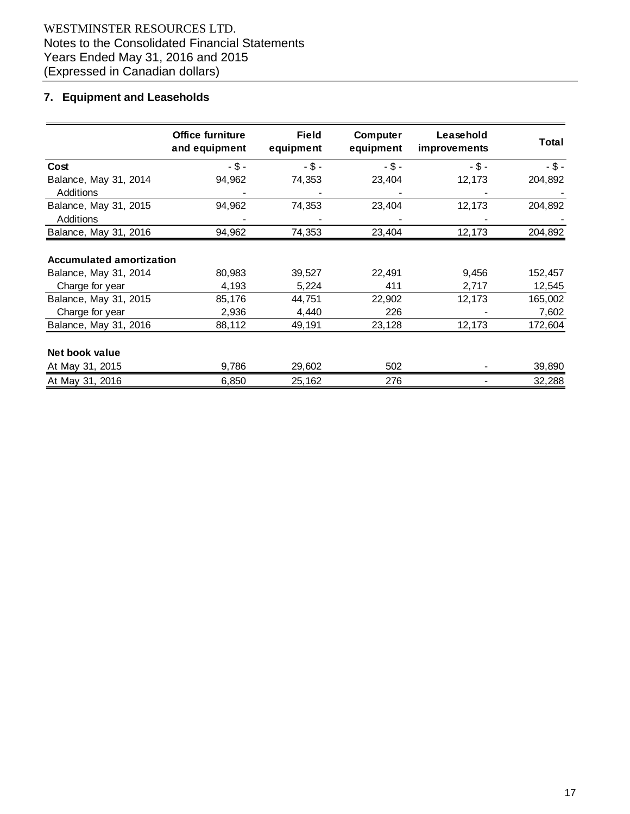# WESTMINSTER RESOURCES LTD. Notes to the Consolidated Financial Statements Years Ended May 31, 2016 and 2015 (Expressed in Canadian dollars)

# **7. Equipment and Leaseholds**

|                                 | Office furniture<br>and equipment | <b>Field</b><br>equipment | Computer<br>equipment | Leasehold<br>improvements | <b>Total</b> |
|---------------------------------|-----------------------------------|---------------------------|-----------------------|---------------------------|--------------|
| Cost                            | $-$ \$ -                          | $-$ \$ -                  | $-$ \$ -              | $-$ \$ -                  | $-$ \$ -     |
| Balance, May 31, 2014           | 94,962                            | 74,353                    | 23,404                | 12,173                    | 204,892      |
| <b>Additions</b>                |                                   |                           |                       |                           |              |
| Balance, May 31, 2015           | 94,962                            | 74,353                    | 23,404                | 12,173                    | 204,892      |
| <b>Additions</b>                |                                   |                           |                       |                           |              |
| Balance, May 31, 2016           | 94,962                            | 74,353                    | 23,404                | 12,173                    | 204,892      |
| <b>Accumulated amortization</b> |                                   |                           |                       |                           |              |
| Balance, May 31, 2014           | 80,983                            | 39,527                    | 22,491                | 9,456                     | 152,457      |
| Charge for year                 | 4,193                             | 5,224                     | 411                   | 2,717                     | 12,545       |
| Balance, May 31, 2015           | 85,176                            | 44,751                    | 22,902                | 12,173                    | 165,002      |
| Charge for year                 | 2,936                             | 4,440                     | 226                   |                           | 7,602        |
| Balance, May 31, 2016           | 88,112                            | 49,191                    | 23,128                | 12,173                    | 172,604      |
| Net book value                  |                                   |                           |                       |                           |              |
| At May 31, 2015                 | 9,786                             | 29,602                    | 502                   |                           | 39,890       |
| At May 31, 2016                 | 6,850                             | 25,162                    | 276                   |                           | 32,288       |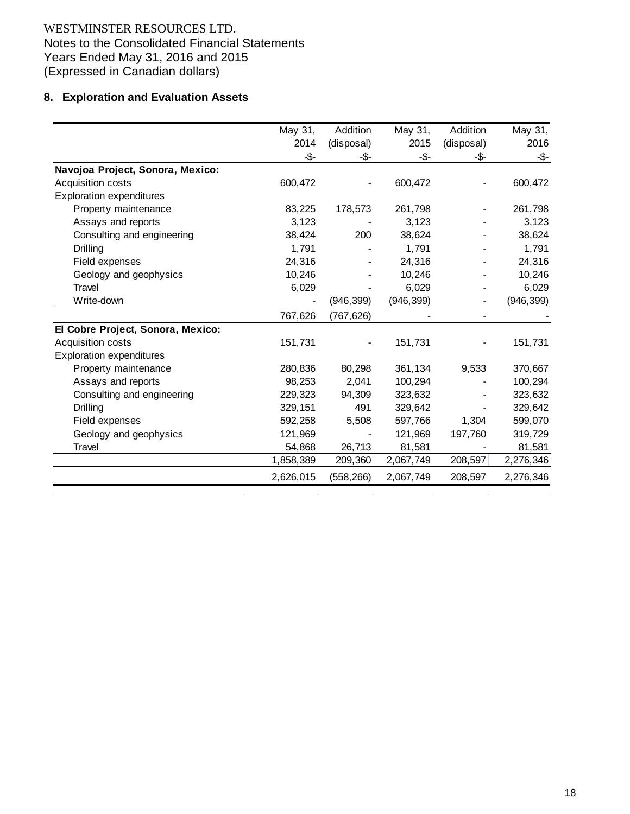# **8. Exploration and Evaluation Assets**

| May 31,   | Addition   | May 31,    | Addition   | May 31,    |
|-----------|------------|------------|------------|------------|
| 2014      | (disposal) | 2015       | (disposal) | 2016       |
| -\$-      | -\$-       | $-5-$      | -\$-       | -\$-       |
|           |            |            |            |            |
| 600,472   |            | 600,472    |            | 600,472    |
|           |            |            |            |            |
| 83,225    | 178,573    | 261,798    |            | 261,798    |
| 3,123     |            | 3,123      |            | 3,123      |
| 38,424    | 200        | 38,624     |            | 38,624     |
| 1,791     |            | 1,791      |            | 1,791      |
| 24,316    |            | 24,316     |            | 24,316     |
| 10,246    |            | 10,246     |            | 10,246     |
| 6,029     |            | 6,029      |            | 6,029      |
|           | (946, 399) | (946, 399) |            | (946, 399) |
| 767,626   | (767, 626) |            |            |            |
|           |            |            |            |            |
| 151,731   |            | 151,731    |            | 151,731    |
|           |            |            |            |            |
| 280,836   | 80,298     | 361,134    | 9,533      | 370,667    |
| 98,253    | 2,041      | 100,294    |            | 100,294    |
| 229,323   | 94,309     | 323,632    |            | 323,632    |
| 329,151   | 491        | 329,642    |            | 329,642    |
| 592,258   | 5,508      | 597,766    | 1,304      | 599,070    |
| 121,969   |            | 121,969    | 197,760    | 319,729    |
| 54,868    | 26,713     | 81,581     |            | 81,581     |
| 1,858,389 | 209,360    | 2,067,749  | 208,597    | 2,276,346  |
| 2,626,015 | (558, 266) | 2,067,749  | 208,597    | 2,276,346  |
|           |            |            |            |            |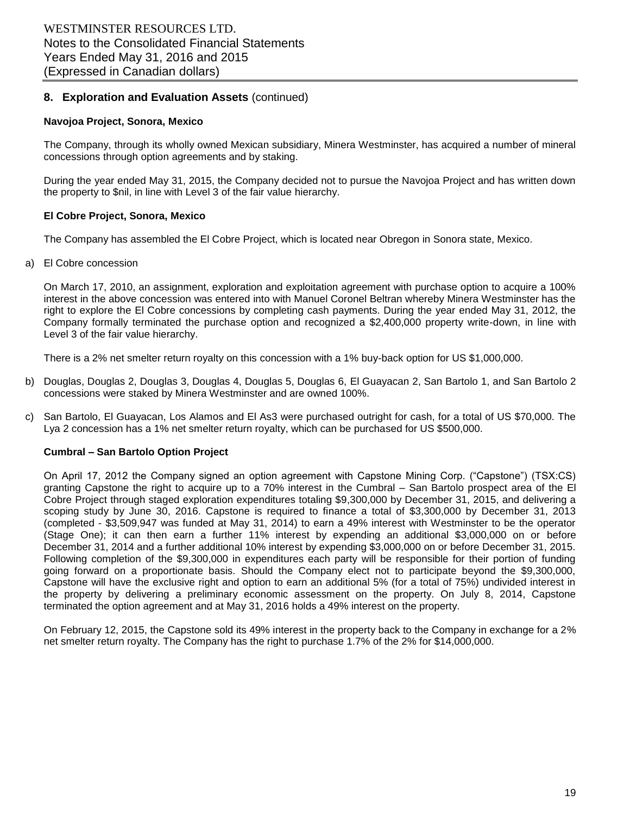# **8. Exploration and Evaluation Assets** (continued)

#### **Navojoa Project, Sonora, Mexico**

The Company, through its wholly owned Mexican subsidiary, Minera Westminster, has acquired a number of mineral concessions through option agreements and by staking.

During the year ended May 31, 2015, the Company decided not to pursue the Navojoa Project and has written down the property to \$nil, in line with Level 3 of the fair value hierarchy.

#### **El Cobre Project, Sonora, Mexico**

The Company has assembled the El Cobre Project, which is located near Obregon in Sonora state, Mexico.

#### a) El Cobre concession

On March 17, 2010, an assignment, exploration and exploitation agreement with purchase option to acquire a 100% interest in the above concession was entered into with Manuel Coronel Beltran whereby Minera Westminster has the right to explore the El Cobre concessions by completing cash payments. During the year ended May 31, 2012, the Company formally terminated the purchase option and recognized a \$2,400,000 property write-down, in line with Level 3 of the fair value hierarchy.

There is a 2% net smelter return royalty on this concession with a 1% buy-back option for US \$1,000,000.

- b) Douglas, Douglas 2, Douglas 3, Douglas 4, Douglas 5, Douglas 6, El Guayacan 2, San Bartolo 1, and San Bartolo 2 concessions were staked by Minera Westminster and are owned 100%.
- c) San Bartolo, El Guayacan, Los Alamos and El As3 were purchased outright for cash, for a total of US \$70,000. The Lya 2 concession has a 1% net smelter return royalty, which can be purchased for US \$500,000.

#### **Cumbral – San Bartolo Option Project**

On April 17, 2012 the Company signed an option agreement with Capstone Mining Corp. ("Capstone") (TSX:CS) granting Capstone the right to acquire up to a 70% interest in the Cumbral – San Bartolo prospect area of the El Cobre Project through staged exploration expenditures totaling \$9,300,000 by December 31, 2015, and delivering a scoping study by June 30, 2016. Capstone is required to finance a total of \$3,300,000 by December 31, 2013 (completed - \$3,509,947 was funded at May 31, 2014) to earn a 49% interest with Westminster to be the operator (Stage One); it can then earn a further 11% interest by expending an additional \$3,000,000 on or before December 31, 2014 and a further additional 10% interest by expending \$3,000,000 on or before December 31, 2015. Following completion of the \$9,300,000 in expenditures each party will be responsible for their portion of funding going forward on a proportionate basis. Should the Company elect not to participate beyond the \$9,300,000, Capstone will have the exclusive right and option to earn an additional 5% (for a total of 75%) undivided interest in the property by delivering a preliminary economic assessment on the property. On July 8, 2014, Capstone terminated the option agreement and at May 31, 2016 holds a 49% interest on the property.

On February 12, 2015, the Capstone sold its 49% interest in the property back to the Company in exchange for a 2% net smelter return royalty. The Company has the right to purchase 1.7% of the 2% for \$14,000,000.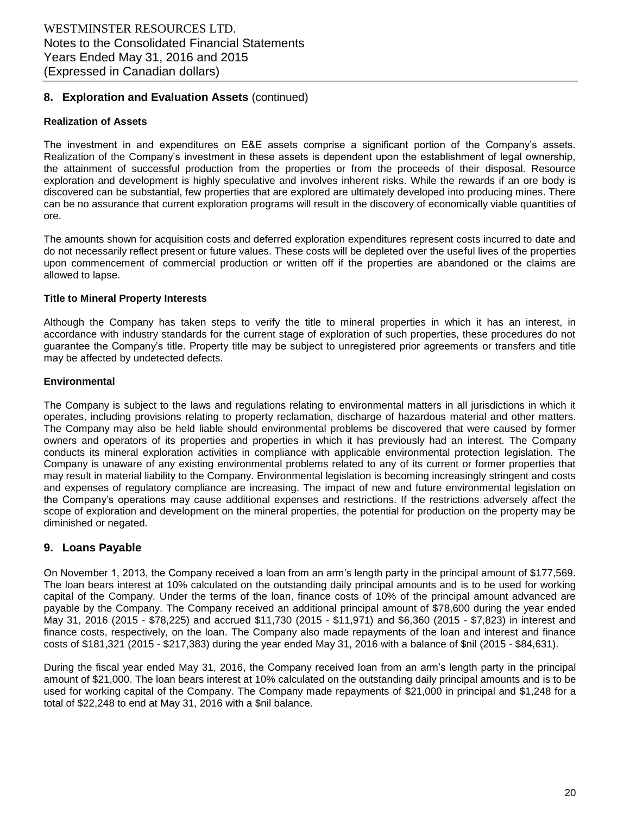# **8. Exploration and Evaluation Assets** (continued)

#### **Realization of Assets**

The investment in and expenditures on E&E assets comprise a significant portion of the Company's assets. Realization of the Company's investment in these assets is dependent upon the establishment of legal ownership, the attainment of successful production from the properties or from the proceeds of their disposal. Resource exploration and development is highly speculative and involves inherent risks. While the rewards if an ore body is discovered can be substantial, few properties that are explored are ultimately developed into producing mines. There can be no assurance that current exploration programs will result in the discovery of economically viable quantities of ore.

The amounts shown for acquisition costs and deferred exploration expenditures represent costs incurred to date and do not necessarily reflect present or future values. These costs will be depleted over the useful lives of the properties upon commencement of commercial production or written off if the properties are abandoned or the claims are allowed to lapse.

#### **Title to Mineral Property Interests**

Although the Company has taken steps to verify the title to mineral properties in which it has an interest, in accordance with industry standards for the current stage of exploration of such properties, these procedures do not guarantee the Company's title. Property title may be subject to unregistered prior agreements or transfers and title may be affected by undetected defects.

#### **Environmental**

The Company is subject to the laws and regulations relating to environmental matters in all jurisdictions in which it operates, including provisions relating to property reclamation, discharge of hazardous material and other matters. The Company may also be held liable should environmental problems be discovered that were caused by former owners and operators of its properties and properties in which it has previously had an interest. The Company conducts its mineral exploration activities in compliance with applicable environmental protection legislation. The Company is unaware of any existing environmental problems related to any of its current or former properties that may result in material liability to the Company. Environmental legislation is becoming increasingly stringent and costs and expenses of regulatory compliance are increasing. The impact of new and future environmental legislation on the Company's operations may cause additional expenses and restrictions. If the restrictions adversely affect the scope of exploration and development on the mineral properties, the potential for production on the property may be diminished or negated.

#### **9. Loans Payable**

On November 1, 2013, the Company received a loan from an arm's length party in the principal amount of \$177,569. The loan bears interest at 10% calculated on the outstanding daily principal amounts and is to be used for working capital of the Company. Under the terms of the loan, finance costs of 10% of the principal amount advanced are payable by the Company. The Company received an additional principal amount of \$78,600 during the year ended May 31, 2016 (2015 - \$78,225) and accrued \$11,730 (2015 - \$11,971) and \$6,360 (2015 - \$7,823) in interest and finance costs, respectively, on the loan. The Company also made repayments of the loan and interest and finance costs of \$181,321 (2015 - \$217,383) during the year ended May 31, 2016 with a balance of \$nil (2015 - \$84,631).

During the fiscal year ended May 31, 2016, the Company received loan from an arm's length party in the principal amount of \$21,000. The loan bears interest at 10% calculated on the outstanding daily principal amounts and is to be used for working capital of the Company. The Company made repayments of \$21,000 in principal and \$1,248 for a total of \$22,248 to end at May 31, 2016 with a \$nil balance.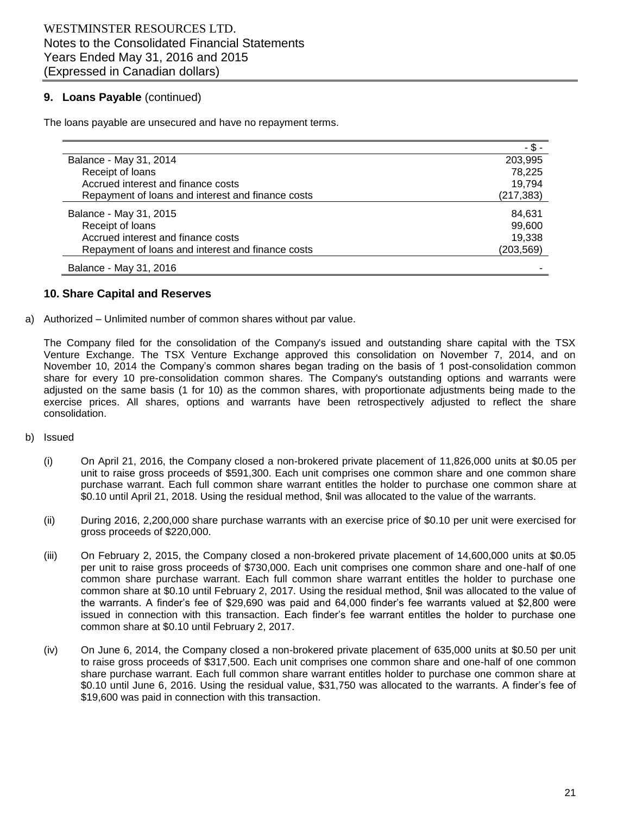# **9. Loans Payable** (continued)

The loans payable are unsecured and have no repayment terms.

|                                                   | - \$       |
|---------------------------------------------------|------------|
| Balance - May 31, 2014                            | 203,995    |
| Receipt of loans                                  | 78.225     |
| Accrued interest and finance costs                | 19,794     |
| Repayment of loans and interest and finance costs | (217, 383) |
| Balance - May 31, 2015                            | 84,631     |
| Receipt of loans                                  | 99,600     |
| Accrued interest and finance costs                | 19.338     |
| Repayment of loans and interest and finance costs | (203, 569) |
| Balance - May 31, 2016                            |            |

#### **10. Share Capital and Reserves**

a) Authorized – Unlimited number of common shares without par value.

The Company filed for the consolidation of the Company's issued and outstanding share capital with the TSX Venture Exchange. The TSX Venture Exchange approved this consolidation on November 7, 2014, and on November 10, 2014 the Company's common shares began trading on the basis of 1 post-consolidation common share for every 10 pre-consolidation common shares. The Company's outstanding options and warrants were adjusted on the same basis (1 for 10) as the common shares, with proportionate adjustments being made to the exercise prices. All shares, options and warrants have been retrospectively adjusted to reflect the share consolidation.

- b) Issued
	- (i) On April 21, 2016, the Company closed a non-brokered private placement of 11,826,000 units at \$0.05 per unit to raise gross proceeds of \$591,300. Each unit comprises one common share and one common share purchase warrant. Each full common share warrant entitles the holder to purchase one common share at \$0.10 until April 21, 2018. Using the residual method, \$nil was allocated to the value of the warrants.
	- (ii) During 2016, 2,200,000 share purchase warrants with an exercise price of \$0.10 per unit were exercised for gross proceeds of \$220,000.
	- (iii) On February 2, 2015, the Company closed a non-brokered private placement of 14,600,000 units at \$0.05 per unit to raise gross proceeds of \$730,000. Each unit comprises one common share and one-half of one common share purchase warrant. Each full common share warrant entitles the holder to purchase one common share at \$0.10 until February 2, 2017. Using the residual method, \$nil was allocated to the value of the warrants. A finder's fee of \$29,690 was paid and 64,000 finder's fee warrants valued at \$2,800 were issued in connection with this transaction. Each finder's fee warrant entitles the holder to purchase one common share at \$0.10 until February 2, 2017.
	- (iv) On June 6, 2014, the Company closed a non-brokered private placement of 635,000 units at \$0.50 per unit to raise gross proceeds of \$317,500. Each unit comprises one common share and one-half of one common share purchase warrant. Each full common share warrant entitles holder to purchase one common share at \$0.10 until June 6, 2016. Using the residual value, \$31,750 was allocated to the warrants. A finder's fee of \$19,600 was paid in connection with this transaction.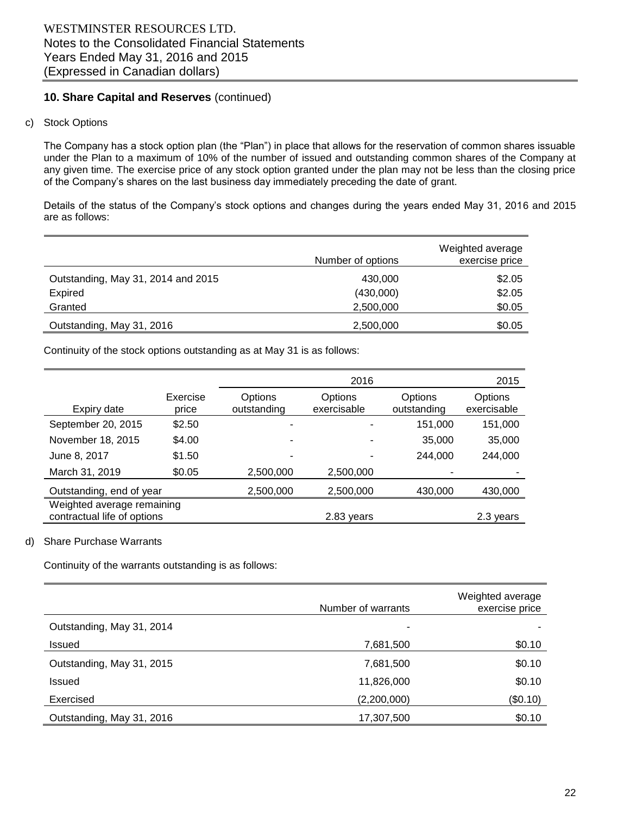# **10. Share Capital and Reserves** (continued)

#### c) Stock Options

The Company has a stock option plan (the "Plan") in place that allows for the reservation of common shares issuable under the Plan to a maximum of 10% of the number of issued and outstanding common shares of the Company at any given time. The exercise price of any stock option granted under the plan may not be less than the closing price of the Company's shares on the last business day immediately preceding the date of grant.

Details of the status of the Company's stock options and changes during the years ended May 31, 2016 and 2015 are as follows:

|                                    | Number of options | Weighted average<br>exercise price |
|------------------------------------|-------------------|------------------------------------|
| Outstanding, May 31, 2014 and 2015 | 430,000           | \$2.05                             |
| Expired                            | (430,000)         | \$2.05                             |
| Granted                            | 2,500,000         | \$0.05                             |
| Outstanding, May 31, 2016          | 2,500,000         | \$0.05                             |

Continuity of the stock options outstanding as at May 31 is as follows:

|                             |                   |                               | 2015                   |                        |                        |
|-----------------------------|-------------------|-------------------------------|------------------------|------------------------|------------------------|
| Expiry date                 | Exercise<br>price | <b>Options</b><br>outstanding | Options<br>exercisable | Options<br>outstanding | Options<br>exercisable |
| September 20, 2015          | \$2.50            |                               |                        | 151,000                | 151,000                |
| November 18, 2015           | \$4.00            |                               |                        | 35,000                 | 35,000                 |
| June 8, 2017                | \$1.50            |                               |                        | 244.000                | 244,000                |
| March 31, 2019              | \$0.05            | 2,500,000                     | 2,500,000              |                        |                        |
| Outstanding, end of year    |                   | 2,500,000                     | 2,500,000              | 430,000                | 430,000                |
| Weighted average remaining  |                   |                               |                        |                        |                        |
| contractual life of options |                   |                               | 2.83 years             |                        | 2.3 years              |

#### d) Share Purchase Warrants

Continuity of the warrants outstanding is as follows:

|                           | Number of warrants | Weighted average<br>exercise price |
|---------------------------|--------------------|------------------------------------|
| Outstanding, May 31, 2014 |                    |                                    |
| <b>Issued</b>             | 7,681,500          | \$0.10                             |
| Outstanding, May 31, 2015 | 7,681,500          | \$0.10                             |
| <b>Issued</b>             | 11,826,000         | \$0.10                             |
| Exercised                 | (2,200,000)        | (\$0.10)                           |
| Outstanding, May 31, 2016 | 17,307,500         | \$0.10                             |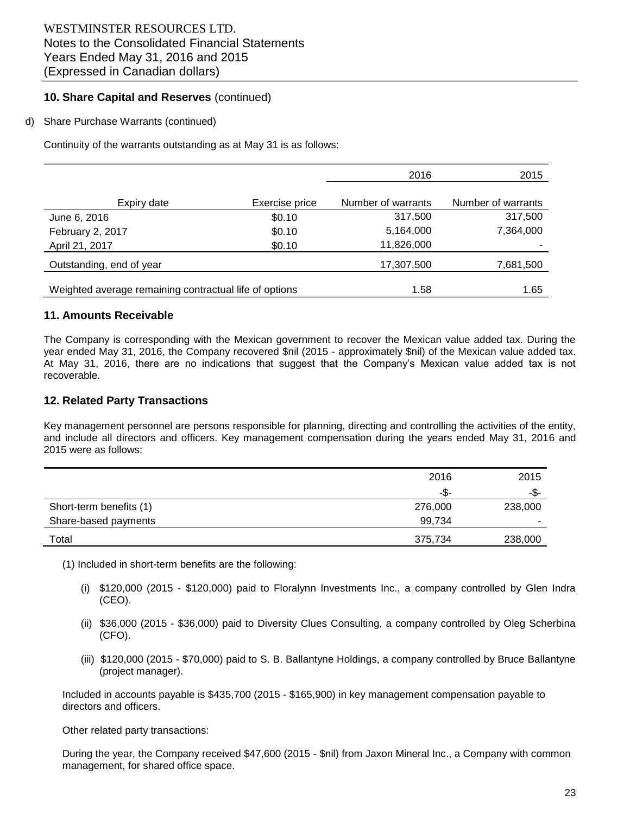# **10. Share Capital and Reserves** (continued)

#### d) Share Purchase Warrants (continued)

Continuity of the warrants outstanding as at May 31 is as follows:

|                                                        |                | 2016               | 2015               |
|--------------------------------------------------------|----------------|--------------------|--------------------|
| Expiry date                                            | Exercise price | Number of warrants | Number of warrants |
| June 6, 2016                                           | \$0.10         | 317,500            | 317,500            |
|                                                        | \$0.10         | 5,164,000          | 7,364,000          |
| February 2, 2017                                       |                |                    |                    |
| April 21, 2017                                         | \$0.10         | 11,826,000         |                    |
| Outstanding, end of year                               |                | 17,307,500         | 7,681,500          |
| Weighted average remaining contractual life of options |                | 1.58               | 1.65               |

#### **11. Amounts Receivable**

The Company is corresponding with the Mexican government to recover the Mexican value added tax. During the year ended May 31, 2016, the Company recovered \$nil (2015 - approximately \$nil) of the Mexican value added tax. At May 31, 2016, there are no indications that suggest that the Company's Mexican value added tax is not recoverable.

# **12. Related Party Transactions**

Key management personnel are persons responsible for planning, directing and controlling the activities of the entity, and include all directors and officers. Key management compensation during the years ended May 31, 2016 and 2015 were as follows:

|                         | 2016    | 2015    |
|-------------------------|---------|---------|
|                         | -\$-    | -\$-    |
| Short-term benefits (1) | 276,000 | 238,000 |
| Share-based payments    | 99,734  |         |
| Total                   | 375,734 | 238,000 |

(1) Included in short-term benefits are the following:

- (i) \$120,000 (2015 \$120,000) paid to Floralynn Investments Inc., a company controlled by Glen Indra (CEO).
- (ii) \$36,000 (2015 \$36,000) paid to Diversity Clues Consulting, a company controlled by Oleg Scherbina (CFO).
- (iii) \$120,000 (2015 \$70,000) paid to S. B. Ballantyne Holdings, a company controlled by Bruce Ballantyne (project manager).

Included in accounts payable is \$435,700 (2015 - \$165,900) in key management compensation payable to directors and officers.

Other related party transactions:

During the year, the Company received \$47,600 (2015 - \$nil) from Jaxon Mineral Inc., a Company with common management, for shared office space.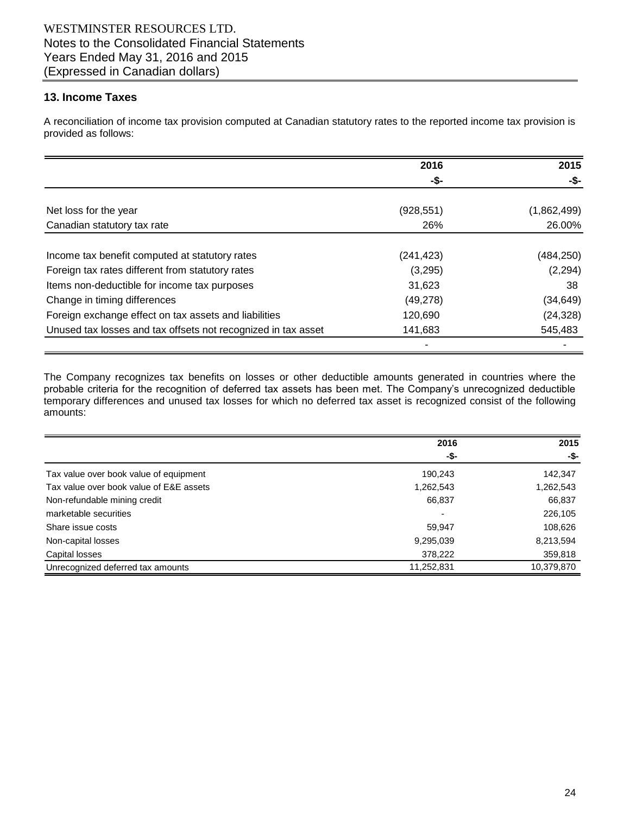# **13. Income Taxes**

A reconciliation of income tax provision computed at Canadian statutory rates to the reported income tax provision is provided as follows:

|                                                               | 2016       | 2015        |
|---------------------------------------------------------------|------------|-------------|
|                                                               | -\$-       | -\$-        |
| Net loss for the year                                         | (928, 551) | (1,862,499) |
| Canadian statutory tax rate                                   | 26%        | 26.00%      |
| Income tax benefit computed at statutory rates                | (241, 423) | (484, 250)  |
| Foreign tax rates different from statutory rates              | (3,295)    | (2, 294)    |
| Items non-deductible for income tax purposes                  | 31,623     | 38          |
| Change in timing differences                                  | (49, 278)  | (34, 649)   |
| Foreign exchange effect on tax assets and liabilities         | 120,690    | (24, 328)   |
| Unused tax losses and tax offsets not recognized in tax asset | 141,683    | 545,483     |
|                                                               |            |             |

The Company recognizes tax benefits on losses or other deductible amounts generated in countries where the probable criteria for the recognition of deferred tax assets has been met. The Company's unrecognized deductible temporary differences and unused tax losses for which no deferred tax asset is recognized consist of the following amounts:

|                                         | 2016       | 2015       |  |
|-----------------------------------------|------------|------------|--|
|                                         | -\$-       | -\$-       |  |
| Tax value over book value of equipment  | 190,243    | 142,347    |  |
| Tax value over book value of E&E assets | 1,262,543  | 1,262,543  |  |
| Non-refundable mining credit            | 66,837     | 66,837     |  |
| marketable securities                   |            | 226,105    |  |
| Share issue costs                       | 59,947     | 108,626    |  |
| Non-capital losses                      | 9,295,039  | 8,213,594  |  |
| Capital losses                          | 378,222    | 359,818    |  |
| Unrecognized deferred tax amounts       | 11,252,831 | 10,379,870 |  |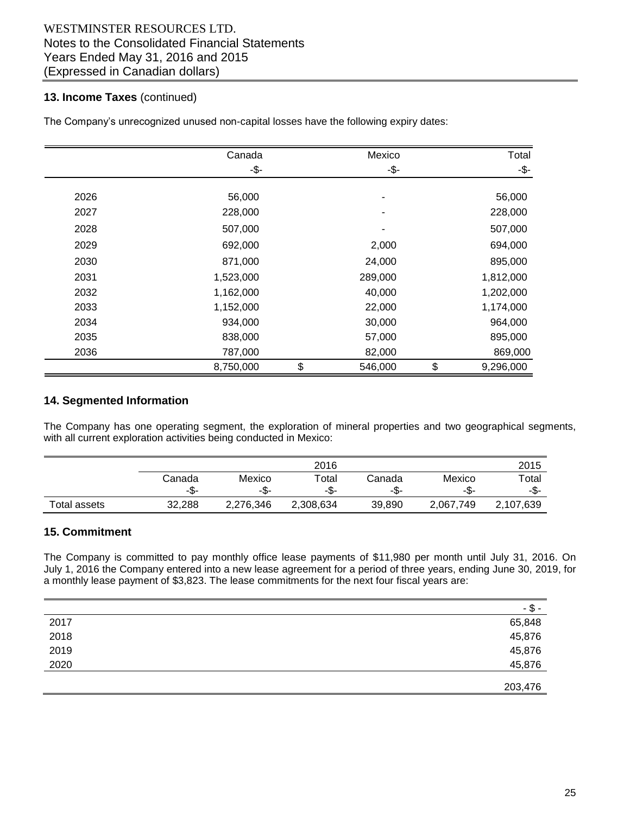# **13. Income Taxes** (continued)

The Company's unrecognized unused non-capital losses have the following expiry dates:

|      | Canada    | Mexico        | Total           |
|------|-----------|---------------|-----------------|
|      | -\$-      | -\$-          | -\$-            |
|      |           |               |                 |
| 2026 | 56,000    |               | 56,000          |
| 2027 | 228,000   |               | 228,000         |
| 2028 | 507,000   |               | 507,000         |
| 2029 | 692,000   | 2,000         | 694,000         |
| 2030 | 871,000   | 24,000        | 895,000         |
| 2031 | 1,523,000 | 289,000       | 1,812,000       |
| 2032 | 1,162,000 | 40,000        | 1,202,000       |
| 2033 | 1,152,000 | 22,000        | 1,174,000       |
| 2034 | 934,000   | 30,000        | 964,000         |
| 2035 | 838,000   | 57,000        | 895,000         |
| 2036 | 787,000   | 82,000        | 869,000         |
|      | 8,750,000 | \$<br>546,000 | \$<br>9,296,000 |

#### **14. Segmented Information**

The Company has one operating segment, the exploration of mineral properties and two geographical segments, with all current exploration activities being conducted in Mexico:

|              | 2016   |           |           |        |           | 2015      |
|--------------|--------|-----------|-----------|--------|-----------|-----------|
|              | Canada | Mexico    | Total     | Canada | Mexico    | Total     |
|              | -\$-   | -\$-      | -љ-       | -\$-   | -აა-      | -\$-      |
| Total assets | 32.288 | 2,276,346 | 2,308,634 | 39,890 | 2.067.749 | 2,107,639 |

# **15. Commitment**

The Company is committed to pay monthly office lease payments of \$11,980 per month until July 31, 2016. On July 1, 2016 the Company entered into a new lease agreement for a period of three years, ending June 30, 2019, for a monthly lease payment of \$3,823. The lease commitments for the next four fiscal years are:

|      | -\$-    |
|------|---------|
| 2017 | 65,848  |
| 2018 | 45,876  |
| 2019 | 45,876  |
| 2020 | 45,876  |
|      | 203,476 |